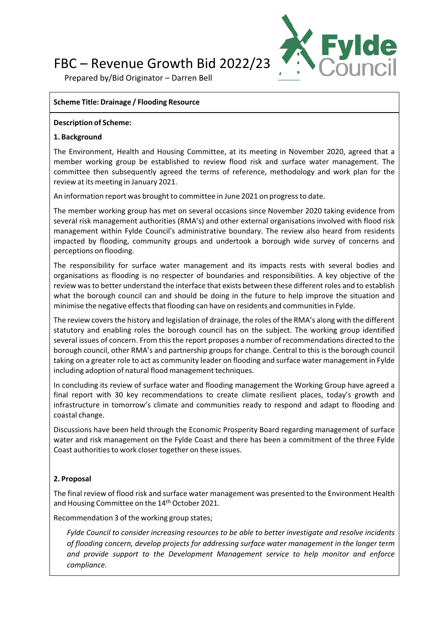# FBC – Revenue Growth Bid 2022/23



Prepared by/Bid Originator – Darren Bell

## **Scheme Title: Drainage / Flooding Resource**

#### **Description of Scheme:**

## **1. Background**

The Environment, Health and Housing Committee, at its meeting in November 2020, agreed that a member working group be established to review flood risk and surface water management. The committee then subsequently agreed the terms of reference, methodology and work plan for the review at its meeting in January 2021.

An information report was brought to committee in June 2021 on progressto date.

The member working group has met on several occasions since November 2020 taking evidence from several risk management authorities (RMA's) and other external organisations involved with flood risk management within Fylde Council's administrative boundary. The review also heard from residents impacted by flooding, community groups and undertook a borough wide survey of concerns and perceptions on flooding.

The responsibility for surface water management and its impacts rests with several bodies and organisations as flooding is no respecter of boundaries and responsibilities. A key objective of the review wasto better understand the interface that exists between these different roles and to establish what the borough council can and should be doing in the future to help improve the situation and minimise the negative effects that flooding can have on residents and communities in Fylde.

The review coversthe history and legislation of drainage, the roles of the RMA's along with the different statutory and enabling roles the borough council has on the subject. The working group identified several issues of concern. From this the report proposes a number of recommendations directed to the borough council, other RMA's and partnership groups for change. Central to this is the borough council taking on a greater role to act as community leader on flooding and surface water management in Fylde including adoption of natural flood management techniques.

In concluding its review of surface water and flooding management the Working Group have agreed a final report with 30 key recommendations to create climate resilient places, today's growth and infrastructure in tomorrow's climate and communities ready to respond and adapt to flooding and coastal change.

Discussions have been held through the Economic Prosperity Board regarding management of surface water and risk management on the Fylde Coast and there has been a commitment of the three Fylde Coast authorities to work closer together on these issues.

# **2. Proposal**

The final review of flood risk and surface water management was presented to the Environment Health and Housing Committee on the 14<sup>th</sup> October 2021.

Recommendation 3 of the working group states;

*Fylde Council to consider increasing resources to be able to better investigate and resolve incidents of flooding concern, develop projects for addressing surface water management in the longer term and provide support to the Development Management service to help monitor and enforce compliance.*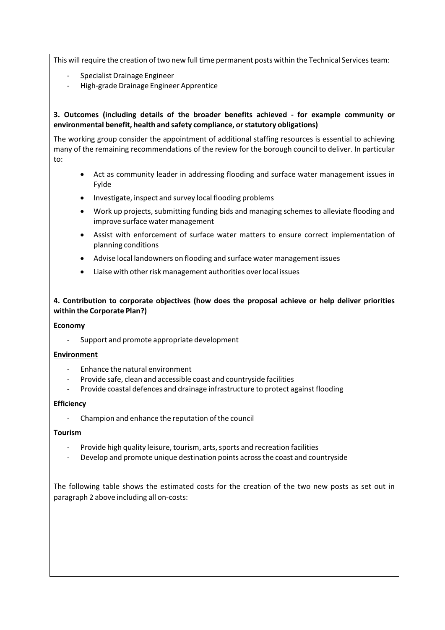This will require the creation of two new full time permanent posts within the Technical Services team:

- ‐ Specialist Drainage Engineer
- ‐ High‐grade Drainage Engineer Apprentice

#### **3. Outcomes (including details of the broader benefits achieved ‐ for example community or environmental benefit, health and safety compliance, orstatutory obligations)**

The working group consider the appointment of additional staffing resources is essential to achieving many of the remaining recommendations of the review for the borough council to deliver. In particular to:

- Act as community leader in addressing flooding and surface water management issues in Fylde
- Investigate, inspect and survey local flooding problems
- Work up projects, submitting funding bids and managing schemes to alleviate flooding and improve surface water management
- Assist with enforcement of surface water matters to ensure correct implementation of planning conditions
- Advise local landowners on flooding and surface water management issues
- Liaise with other risk management authorities over local issues

## **4. Contribution to corporate objectives (how does the proposal achieve or help deliver priorities within the Corporate Plan?)**

#### **Economy**

‐ Support and promote appropriate development

#### **Environment**

- ‐ Enhance the natural environment
- ‐ Provide safe, clean and accessible coast and countryside facilities
- ‐ Provide coastal defences and drainage infrastructure to protect against flooding

#### **Efficiency**

‐ Champion and enhance the reputation of the council

#### **Tourism**

- Provide high quality leisure, tourism, arts, sports and recreation facilities
- ‐ Develop and promote unique destination points acrossthe coast and countryside

The following table shows the estimated costs for the creation of the two new posts as set out in paragraph 2 above including all on‐costs: